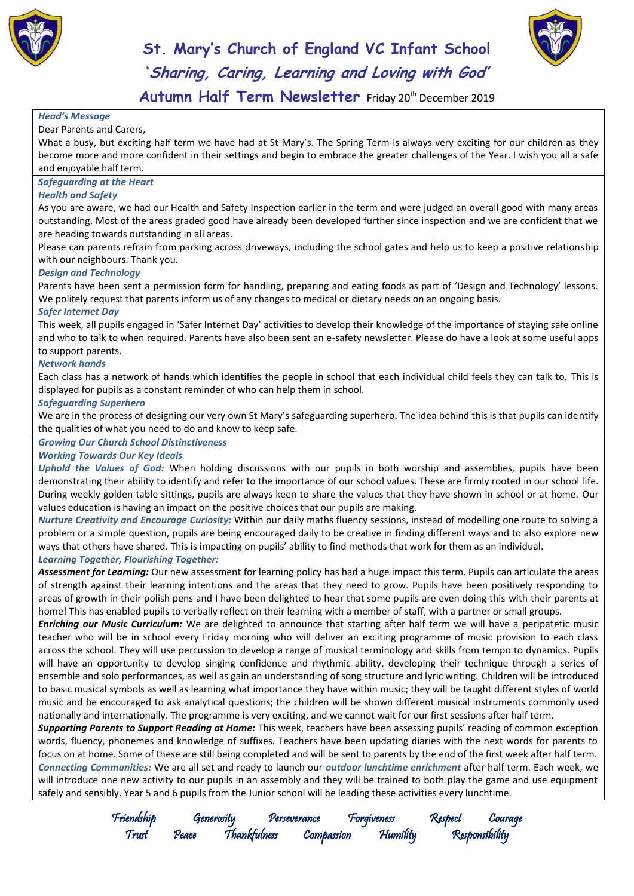



**Autumn Half Term Newsletter** Friday 20th December 2019

#### *Head's Message*

Dear Parents and Carers,

What a busy, but exciting half term we have had at St Mary's. The Spring Term is always very exciting for our children as they become more and more confident in their settings and begin to embrace the greater challenges of the Year. I wish you all a safe and enjoyable half term.

#### *Safeguarding at the Heart*

#### *Health and Safety*

As you are aware, we had our Health and Safety Inspection earlier in the term and were judged an overall good with many areas outstanding. Most of the areas graded good have already been developed further since inspection and we are confident that we are heading towards outstanding in all areas.

Please can parents refrain from parking across driveways, including the school gates and help us to keep a positive relationship with our neighbours. Thank you.

#### *Design and Technology*

Parents have been sent a permission form for handling, preparing and eating foods as part of 'Design and Technology' lessons. We politely request that parents inform us of any changes to medical or dietary needs on an ongoing basis.

#### *Safer Internet Day*

This week, all pupils engaged in 'Safer Internet Day' activities to develop their knowledge of the importance of staying safe online and who to talk to when required. Parents have also been sent an e-safety newsletter. Please do have a look at some useful apps to support parents.

#### *Network hands*

Each class has a network of hands which identifies the people in school that each individual child feels they can talk to. This is displayed for pupils as a constant reminder of who can help them in school.

#### *Safeguarding Superhero*

We are in the process of designing our very own St Mary's safeguarding superhero. The idea behind this is that pupils can identify the qualities of what you need to do and know to keep safe.

#### *Growing Our Church School Distinctiveness*

#### *Working Towards Our Key Ideals*

*Uphold the Values of God:* When holding discussions with our pupils in both worship and assemblies, pupils have been demonstrating their ability to identify and refer to the importance of our school values. These are firmly rooted in our school life. During weekly golden table sittings, pupils are always keen to share the values that they have shown in school or at home. Our values education is having an impact on the positive choices that our pupils are making.

*Nurture Creativity and Encourage Curiosity:* Within our daily maths fluency sessions, instead of modelling one route to solving a problem or a simple question, pupils are being encouraged daily to be creative in finding different ways and to also explore new ways that others have shared. This is impacting on pupils' ability to find methods that work for them as an individual. *Learning Together, Flourishing Together:* 

*Assessment for Learning:* Our new assessment for learning policy has had a huge impact this term. Pupils can articulate the areas of strength against their learning intentions and the areas that they need to grow. Pupils have been positively responding to areas of growth in their polish pens and I have been delighted to hear that some pupils are even doing this with their parents at home! This has enabled pupils to verbally reflect on their learning with a member of staff, with a partner or small groups.

*Enriching our Music Curriculum:* We are delighted to announce that starting after half term we will have a peripatetic music teacher who will be in school every Friday morning who will deliver an exciting programme of music provision to each class across the school. They will use percussion to develop a range of musical terminology and skills from tempo to dynamics. Pupils will have an opportunity to develop singing confidence and rhythmic ability, developing their technique through a series of ensemble and solo performances, as well as gain an understanding of song structure and lyric writing. Children will be introduced to basic musical symbols as well as learning what importance they have within music; they will be taught different styles of world music and be encouraged to ask analytical questions; the children will be shown different musical instruments commonly used nationally and internationally. The programme is very exciting, and we cannot wait for our first sessions after half term.

*Supporting Parents to Support Reading at Home:* This week, teachers have been assessing pupils' reading of common exception words, fluency, phonemes and knowledge of suffixes. Teachers have been updating diaries with the next words for parents to focus on at home. Some of these are still being completed and will be sent to parents by the end of the first week after half term. *Connecting Communities:* We are all set and ready to launch our *outdoor lunchtime enrichment* after half term. Each week, we will introduce one new activity to our pupils in an assembly and they will be trained to both play the game and use equipment safely and sensibly. Year 5 and 6 pupils from the Junior school will be leading these activities every lunchtime.

> Friendship Generosity Perseverance Forgiveness Respect Courage Trust Peace Thankfulness Compassion Humility Responsibility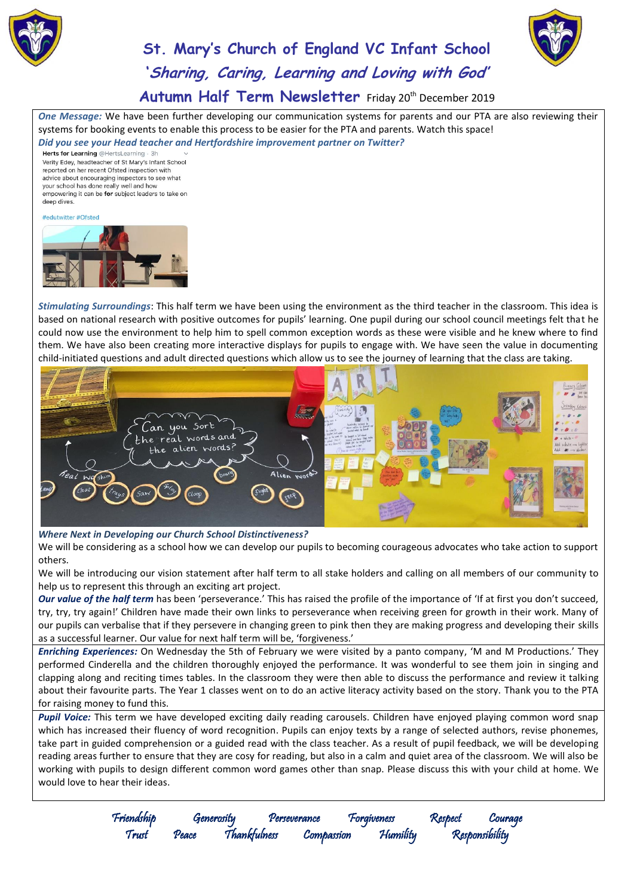



Autumn Half Term Newsletter Friday 20<sup>th</sup> December 2019

*One Message:* We have been further developing our communication systems for parents and our PTA are also reviewing their systems for booking events to enable this process to be easier for the PTA and parents. Watch this space! *Did you see your Head teacher and Hertfordshire improvement partner on Twitter?* 

Verity Edey, headteacher of St Mary's Infant School reported on her recent Ofsted inspection with advice about encouraging inspectors to see what your school has done really well and how empowering it can be for subject leaders to take on deep dives.

#### #edutwitter #Ofsted



*Stimulating Surroundings*: This half term we have been using the environment as the third teacher in the classroom. This idea is based on national research with positive outcomes for pupils' learning. One pupil during our school council meetings felt that he could now use the environment to help him to spell common exception words as these were visible and he knew where to find them. We have also been creating more interactive displays for pupils to engage with. We have seen the value in documenting child-initiated questions and adult directed questions which allow us to see the journey of learning that the class are taking.



*Where Next in Developing our Church School Distinctiveness?*

We will be considering as a school how we can develop our pupils to becoming courageous advocates who take action to support others.

We will be introducing our vision statement after half term to all stake holders and calling on all members of our community to help us to represent this through an exciting art project.

*Our value of the half term* has been 'perseverance.' This has raised the profile of the importance of 'If at first you don't succeed, try, try, try again!' Children have made their own links to perseverance when receiving green for growth in their work. Many of our pupils can verbalise that if they persevere in changing green to pink then they are making progress and developing their skills as a successful learner. Our value for next half term will be, 'forgiveness.'

*Enriching Experiences:* On Wednesday the 5th of February we were visited by a panto company, 'M and M Productions.' They performed Cinderella and the children thoroughly enjoyed the performance. It was wonderful to see them join in singing and clapping along and reciting times tables. In the classroom they were then able to discuss the performance and review it talking about their favourite parts. The Year 1 classes went on to do an active literacy activity based on the story. Thank you to the PTA for raising money to fund this.

*Pupil Voice:* This term we have developed exciting daily reading carousels. Children have enjoyed playing common word snap which has increased their fluency of word recognition. Pupils can enjoy texts by a range of selected authors, revise phonemes, take part in guided comprehension or a guided read with the class teacher. As a result of pupil feedback, we will be developing reading areas further to ensure that they are cosy for reading, but also in a calm and quiet area of the classroom. We will also be working with pupils to design different common word games other than snap. Please discuss this with your child at home. We would love to hear their ideas.

Friendship Generosity Perseverance Forgiveness Respect Courage Trust Peace Thankfulness Compassion Humility Responsibility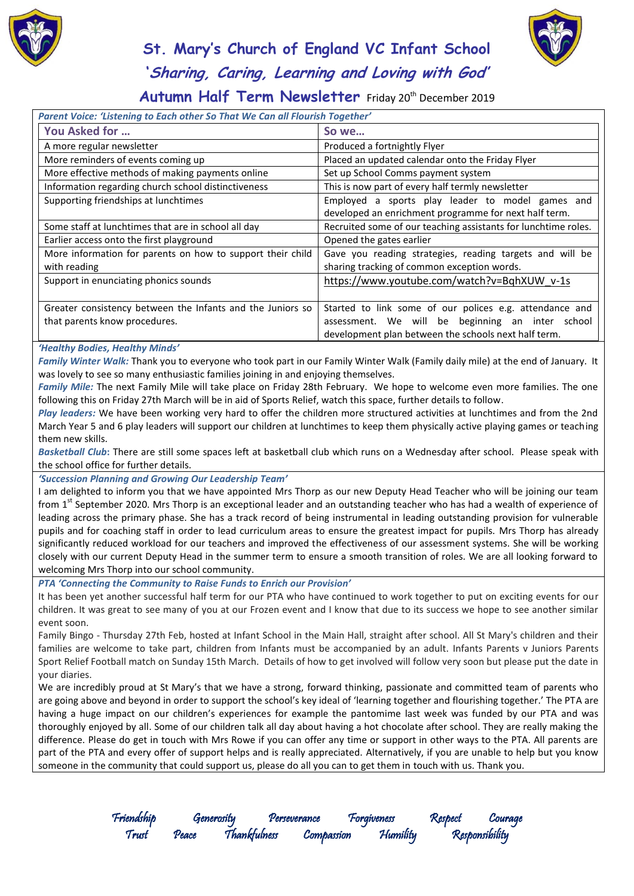



### Autumn Half Term Newsletter Friday 20<sup>th</sup> December 2019

| Parent Voice: 'Listening to Each other So That We Can all Flourish Together'                |                                                                                                                                                                           |  |  |  |
|---------------------------------------------------------------------------------------------|---------------------------------------------------------------------------------------------------------------------------------------------------------------------------|--|--|--|
| You Asked for                                                                               | So we                                                                                                                                                                     |  |  |  |
| A more regular newsletter                                                                   | Produced a fortnightly Flyer                                                                                                                                              |  |  |  |
| More reminders of events coming up                                                          | Placed an updated calendar onto the Friday Flyer                                                                                                                          |  |  |  |
| More effective methods of making payments online                                            | Set up School Comms payment system                                                                                                                                        |  |  |  |
| Information regarding church school distinctiveness                                         | This is now part of every half termly newsletter                                                                                                                          |  |  |  |
| Supporting friendships at lunchtimes                                                        | Employed a sports play leader to model games and<br>developed an enrichment programme for next half term.                                                                 |  |  |  |
| Some staff at lunchtimes that are in school all day                                         | Recruited some of our teaching assistants for lunchtime roles.                                                                                                            |  |  |  |
| Earlier access onto the first playground                                                    | Opened the gates earlier                                                                                                                                                  |  |  |  |
| More information for parents on how to support their child<br>with reading                  | Gave you reading strategies, reading targets and will be<br>sharing tracking of common exception words.                                                                   |  |  |  |
| Support in enunciating phonics sounds                                                       | https://www.youtube.com/watch?v=BqhXUW v-1s                                                                                                                               |  |  |  |
| Greater consistency between the Infants and the Juniors so<br>that parents know procedures. | Started to link some of our polices e.g. attendance and<br>be beginning an inter school<br>We will<br>assessment.<br>development plan between the schools next half term. |  |  |  |

#### *'Healthy Bodies, Healthy Minds'*

*Family Winter Walk:* Thank you to everyone who took part in our Family Winter Walk (Family daily mile) at the end of January. It was lovely to see so many enthusiastic families joining in and enjoying themselves.

*Family Mile:* The next Family Mile will take place on Friday 28th February. We hope to welcome even more families. The one following this on Friday 27th March will be in aid of Sports Relief, watch this space, further details to follow.

*Play leaders:* We have been working very hard to offer the children more structured activities at lunchtimes and from the 2nd March Year 5 and 6 play leaders will support our children at lunchtimes to keep them physically active playing games or teaching them new skills.

*Basketball Club***:** There are still some spaces left at basketball club which runs on a Wednesday after school. Please speak with the school office for further details.

*'Succession Planning and Growing Our Leadership Team'*

I am delighted to inform you that we have appointed Mrs Thorp as our new Deputy Head Teacher who will be joining our team from  $1^{st}$  September 2020. Mrs Thorp is an exceptional leader and an outstanding teacher who has had a wealth of experience of leading across the primary phase. She has a track record of being instrumental in leading outstanding provision for vulnerable pupils and for coaching staff in order to lead curriculum areas to ensure the greatest impact for pupils. Mrs Thorp has already significantly reduced workload for our teachers and improved the effectiveness of our assessment systems. She will be working closely with our current Deputy Head in the summer term to ensure a smooth transition of roles. We are all looking forward to welcoming Mrs Thorp into our school community.

*PTA 'Connecting the Community to Raise Funds to Enrich our Provision'*

It has been yet another successful half term for our PTA who have continued to work together to put on exciting events for our children. It was great to see many of you at our Frozen event and I know that due to its success we hope to see another similar event soon.

Family Bingo - Thursday 27th Feb, hosted at Infant School in the Main Hall, straight after school. All St Mary's children and their families are welcome to take part, children from Infants must be accompanied by an adult. Infants Parents v Juniors Parents Sport Relief Football match on Sunday 15th March. Details of how to get involved will follow very soon but please put the date in your diaries.

We are incredibly proud at St Mary's that we have a strong, forward thinking, passionate and committed team of parents who are going above and beyond in order to support the school's key ideal of 'learning together and flourishing together.' The PTA are having a huge impact on our children's experiences for example the pantomime last week was funded by our PTA and was thoroughly enjoyed by all. Some of our children talk all day about having a hot chocolate after school. They are really making the difference. Please do get in touch with Mrs Rowe if you can offer any time or support in other ways to the PTA. All parents are part of the PTA and every offer of support helps and is really appreciated. Alternatively, if you are unable to help but you know someone in the community that could support us, please do all you can to get them in touch with us. Thank you.

Trust Peace Thankfulness Compassion Humility Responsibility

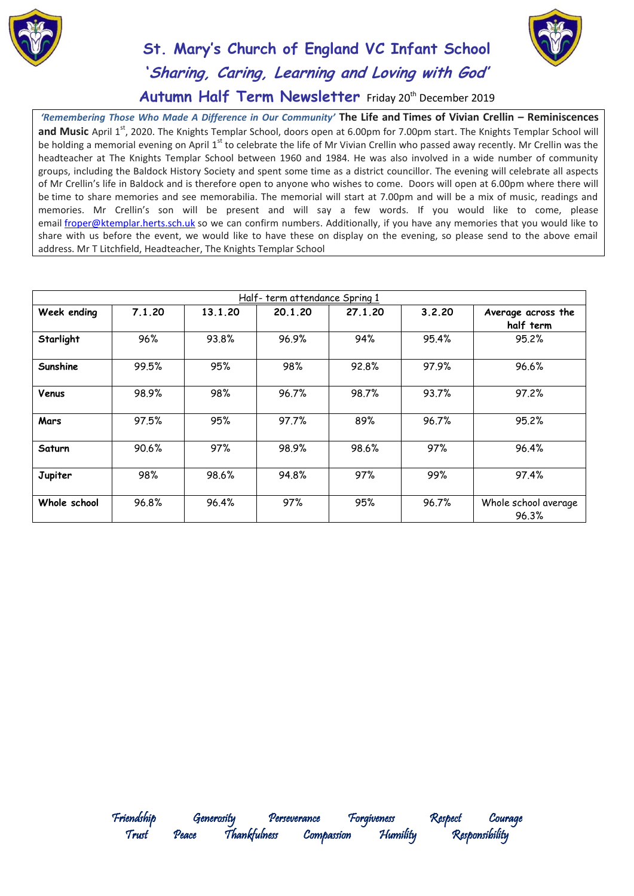



### Autumn Half Term Newsletter Friday 20<sup>th</sup> December 2019

*'Remembering Those Who Made A Difference in Our Community'* **The Life and Times of Vivian Crellin – Reminiscences and Music** April 1<sup>st</sup>, 2020. The Knights Templar School, doors open at 6.00pm for 7.00pm start. The Knights Templar School will be holding a memorial evening on April 1<sup>st</sup> to celebrate the life of Mr Vivian Crellin who passed away recently. Mr Crellin was the headteacher at The Knights Templar School between 1960 and 1984. He was also involved in a wide number of community groups, including the Baldock History Society and spent some time as a district councillor. The evening will celebrate all aspects of Mr Crellin's life in Baldock and is therefore open to anyone who wishes to come. Doors will open at 6.00pm where there will be time to share memories and see memorabilia. The memorial will start at 7.00pm and will be a mix of music, readings and memories. Mr Crellin's son will be present and will say a few words. If you would like to come, please email [froper@ktemplar.herts.sch.uk](mailto:froper@ktemplar.herts.sch.uk) so we can confirm numbers. Additionally, if you have any memories that you would like to share with us before the event, we would like to have these on display on the evening, so please send to the above email address. Mr T Litchfield, Headteacher, The Knights Templar School

| Half-term attendance Spring 1 |        |         |         |         |        |                                 |  |
|-------------------------------|--------|---------|---------|---------|--------|---------------------------------|--|
| Week ending                   | 7.1.20 | 13.1.20 | 20.1.20 | 27.1.20 | 3.2.20 | Average across the<br>half term |  |
| Starlight                     | 96%    | 93.8%   | 96.9%   | 94%     | 95.4%  | 95.2%                           |  |
| Sunshine                      | 99.5%  | 95%     | 98%     | 92.8%   | 97.9%  | 96.6%                           |  |
| Venus                         | 98.9%  | 98%     | 96.7%   | 98.7%   | 93.7%  | 97.2%                           |  |
| Mars                          | 97.5%  | 95%     | 97.7%   | 89%     | 96.7%  | 95.2%                           |  |
| Saturn                        | 90.6%  | 97%     | 98.9%   | 98.6%   | 97%    | 96.4%                           |  |
| Jupiter                       | 98%    | 98.6%   | 94.8%   | 97%     | 99%    | 97.4%                           |  |
| Whole school                  | 96.8%  | 96.4%   | 97%     | 95%     | 96.7%  | Whole school average<br>96.3%   |  |